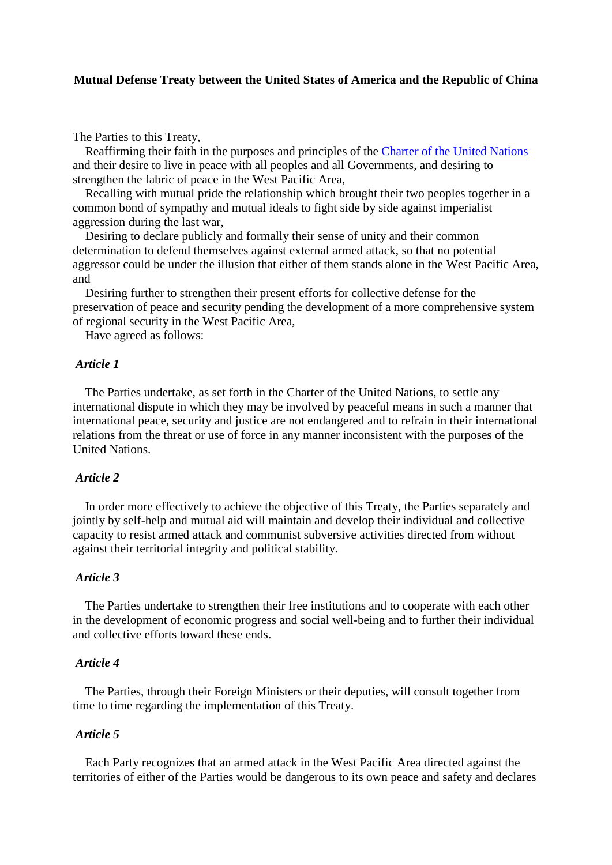### **Mutual Defense Treaty between the United States of America and the Republic of China**

The Parties to this Treaty,

 Reaffirming their faith in the purposes and principles of the [Charter of the United Nations](http://www.taiwandocuments.org/charter.htm) and their desire to live in peace with all peoples and all Governments, and desiring to strengthen the fabric of peace in the West Pacific Area,

 Recalling with mutual pride the relationship which brought their two peoples together in a common bond of sympathy and mutual ideals to fight side by side against imperialist aggression during the last war,

 Desiring to declare publicly and formally their sense of unity and their common determination to defend themselves against external armed attack, so that no potential aggressor could be under the illusion that either of them stands alone in the West Pacific Area, and

 Desiring further to strengthen their present efforts for collective defense for the preservation of peace and security pending the development of a more comprehensive system of regional security in the West Pacific Area,

Have agreed as follows:

#### *Article 1*

 The Parties undertake, as set forth in the Charter of the United Nations, to settle any international dispute in which they may be involved by peaceful means in such a manner that international peace, security and justice are not endangered and to refrain in their international relations from the threat or use of force in any manner inconsistent with the purposes of the United Nations.

# *Article 2*

 In order more effectively to achieve the objective of this Treaty, the Parties separately and jointly by self-help and mutual aid will maintain and develop their individual and collective capacity to resist armed attack and communist subversive activities directed from without against their territorial integrity and political stability.

### *Article 3*

 The Parties undertake to strengthen their free institutions and to cooperate with each other in the development of economic progress and social well-being and to further their individual and collective efforts toward these ends.

# *Article 4*

 The Parties, through their Foreign Ministers or their deputies, will consult together from time to time regarding the implementation of this Treaty.

### *Article 5*

 Each Party recognizes that an armed attack in the West Pacific Area directed against the territories of either of the Parties would be dangerous to its own peace and safety and declares